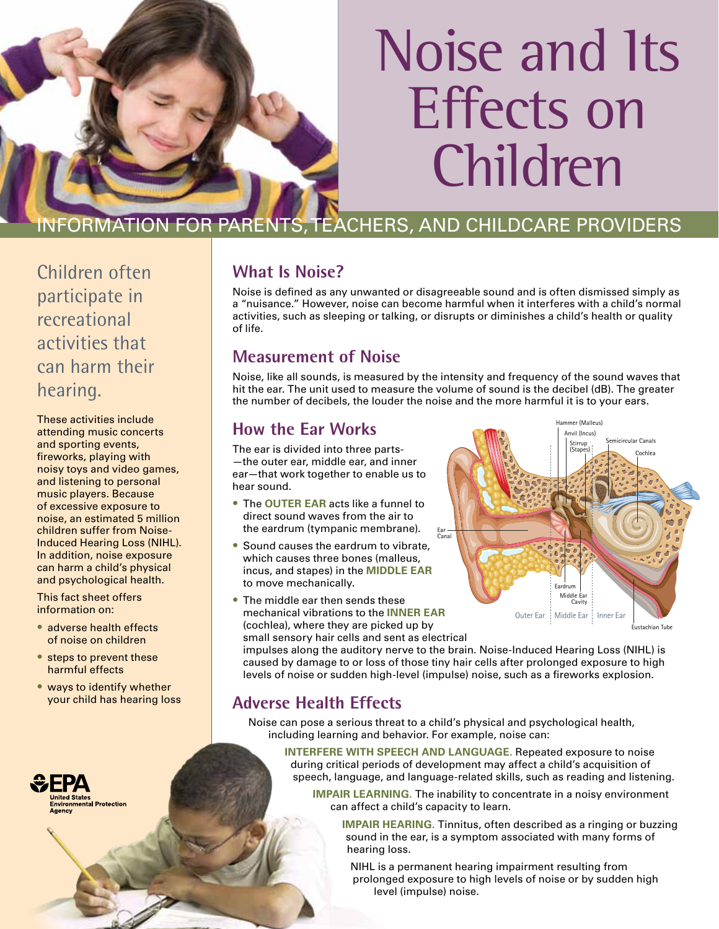

# Noise and Its Effects on Children

## INFORMATION FOR PARENTS, TEACHERS, AND CHILDCARE PROVIDERS

Children often participate in recreational activities that can harm their hearing.

These activities include attending music concerts and sporting events, fireworks, playing with noisy toys and video games, and listening to personal music players. Because of excessive exposure to noise, an estimated 5 million children suffer from Noise-Induced Hearing Loss (NIHL). In addition, noise exposure can harm a child's physical and psychological health.

This fact sheet offers information on:

- adverse health effects of noise on children
- steps to prevent these harmful effects
- ways to identify whether your child has hearing loss



### **What Is Noise?**

Noise is defined as any unwanted or disagreeable sound and is often dismissed simply as a "nuisance." However, noise can become harmful when it interferes with a child's normal activities, such as sleeping or talking, or disrupts or diminishes a child's health or quality of life.

#### **Measurement of Noise**

Noise, like all sounds, is measured by the intensity and frequency of the sound waves that hit the ear. The unit used to measure the volume of sound is the decibel (dB). The greater the number of decibels, the louder the noise and the more harmful it is to your ears.

#### **How the Ear Works**

The ear is divided into three parts- —the outer ear, middle ear, and inner ear—that work together to enable us to hear sound.

- • The **OUTER EAR** acts like a funnel to direct sound waves from the air to the eardrum (tympanic membrane).
- Sound causes the eardrum to vibrate. which causes three bones (malleus, incus, and stapes) in the **MIDDLE EAR** to move mechanically.
- The middle ear then sends these mechanical vibrations to the **INNER EAR** (cochlea), where they are picked up by small sensory hair cells and sent as electrical



impulses along the auditory nerve to the brain. Noise-Induced Hearing Loss (NIHL) is caused by damage to or loss of those tiny hair cells after prolonged exposure to high levels of noise or sudden high-level (impulse) noise, such as a fireworks explosion.

### **Adverse Health Effects**

Noise can pose a serious threat to a child's physical and psychological health, including learning and behavior. For example, noise can:

**INTERFERE WITH SPEECH AND LANGUAGE.** Repeated exposure to noise during critical periods of development may affect a child's acquisition of speech, language, and language-related skills, such as reading and listening.

**IMPAIR LEARNING**. The inability to concentrate in a noisy environment can affect a child's capacity to learn.

**IMPAIR HEARING.** Tinnitus, often described as a ringing or buzzing sound in the ear, is a symptom associated with many forms of hearing loss.

NIHL is a permanent hearing impairment resulting from prolonged exposure to high levels of noise or by sudden high level (impulse) noise.